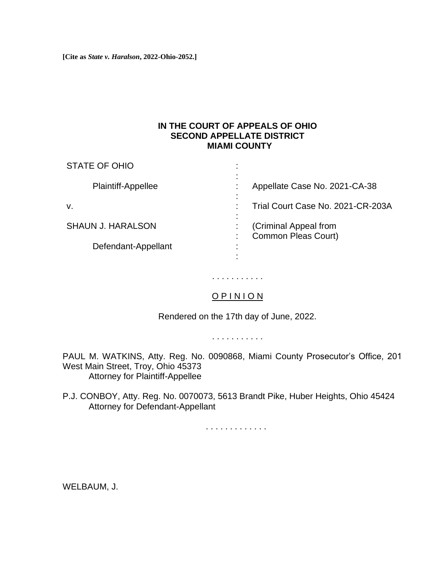**[Cite as** *State v. Haralson***, 2022-Ohio-2052.]**

### **IN THE COURT OF APPEALS OF OHIO SECOND APPELLATE DISTRICT MIAMI COUNTY**

| <b>STATE OF OHIO</b>     |                                              |
|--------------------------|----------------------------------------------|
| Plaintiff-Appellee       | Appellate Case No. 2021-CA-38                |
| v.                       | Trial Court Case No. 2021-CR-203A            |
| <b>SHAUN J. HARALSON</b> | (Criminal Appeal from<br>Common Pleas Court) |
| Defendant-Appellant      |                                              |

# . . . . . . . . . . .

## O P I N I O N

Rendered on the 17th day of June, 2022.

. . . . . . . . . . .

PAUL M. WATKINS, Atty. Reg. No. 0090868, Miami County Prosecutor's Office, 201 West Main Street, Troy, Ohio 45373 Attorney for Plaintiff-Appellee

P.J. CONBOY, Atty. Reg. No. 0070073, 5613 Brandt Pike, Huber Heights, Ohio 45424 Attorney for Defendant-Appellant

. . . . . . . . . . . . .

WELBAUM, J.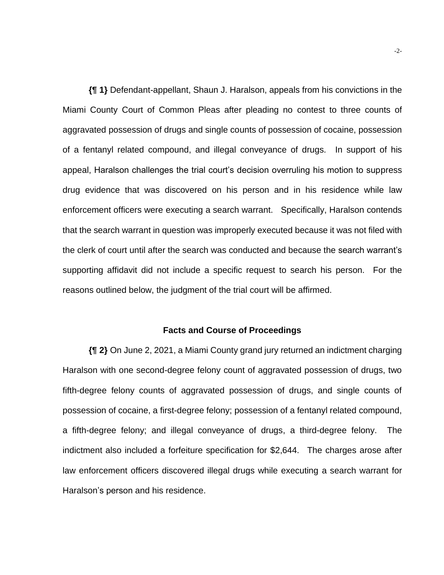**{¶ 1}** Defendant-appellant, Shaun J. Haralson, appeals from his convictions in the Miami County Court of Common Pleas after pleading no contest to three counts of aggravated possession of drugs and single counts of possession of cocaine, possession of a fentanyl related compound, and illegal conveyance of drugs. In support of his appeal, Haralson challenges the trial court's decision overruling his motion to suppress drug evidence that was discovered on his person and in his residence while law enforcement officers were executing a search warrant. Specifically, Haralson contends that the search warrant in question was improperly executed because it was not filed with the clerk of court until after the search was conducted and because the search warrant's supporting affidavit did not include a specific request to search his person. For the reasons outlined below, the judgment of the trial court will be affirmed.

#### **Facts and Course of Proceedings**

**{¶ 2}** On June 2, 2021, a Miami County grand jury returned an indictment charging Haralson with one second-degree felony count of aggravated possession of drugs, two fifth-degree felony counts of aggravated possession of drugs, and single counts of possession of cocaine, a first-degree felony; possession of a fentanyl related compound, a fifth-degree felony; and illegal conveyance of drugs, a third-degree felony. The indictment also included a forfeiture specification for \$2,644. The charges arose after law enforcement officers discovered illegal drugs while executing a search warrant for Haralson's person and his residence.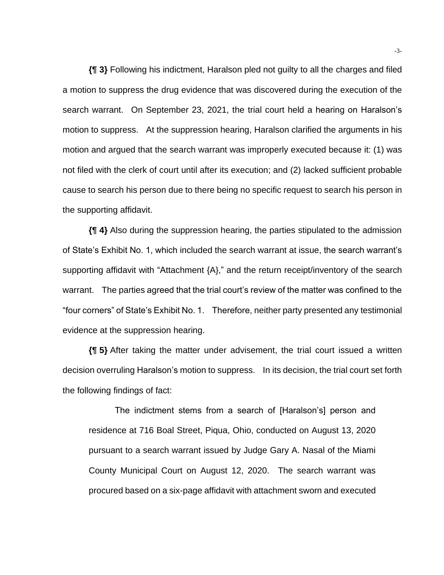**{¶ 3}** Following his indictment, Haralson pled not guilty to all the charges and filed a motion to suppress the drug evidence that was discovered during the execution of the search warrant. On September 23, 2021, the trial court held a hearing on Haralson's motion to suppress. At the suppression hearing, Haralson clarified the arguments in his motion and argued that the search warrant was improperly executed because it: (1) was not filed with the clerk of court until after its execution; and (2) lacked sufficient probable cause to search his person due to there being no specific request to search his person in the supporting affidavit.

**{¶ 4}** Also during the suppression hearing, the parties stipulated to the admission of State's Exhibit No. 1, which included the search warrant at issue, the search warrant's supporting affidavit with "Attachment {A}," and the return receipt/inventory of the search warrant. The parties agreed that the trial court's review of the matter was confined to the "four corners" of State's Exhibit No. 1. Therefore, neither party presented any testimonial evidence at the suppression hearing.

**{¶ 5}** After taking the matter under advisement, the trial court issued a written decision overruling Haralson's motion to suppress. In its decision, the trial court set forth the following findings of fact:

The indictment stems from a search of [Haralson's] person and residence at 716 Boal Street, Piqua, Ohio, conducted on August 13, 2020 pursuant to a search warrant issued by Judge Gary A. Nasal of the Miami County Municipal Court on August 12, 2020. The search warrant was procured based on a six-page affidavit with attachment sworn and executed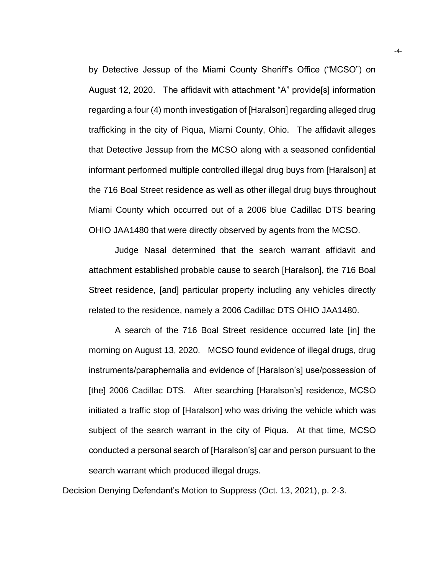by Detective Jessup of the Miami County Sheriff's Office ("MCSO") on August 12, 2020. The affidavit with attachment "A" provide[s] information regarding a four (4) month investigation of [Haralson] regarding alleged drug trafficking in the city of Piqua, Miami County, Ohio. The affidavit alleges that Detective Jessup from the MCSO along with a seasoned confidential informant performed multiple controlled illegal drug buys from [Haralson] at the 716 Boal Street residence as well as other illegal drug buys throughout Miami County which occurred out of a 2006 blue Cadillac DTS bearing OHIO JAA1480 that were directly observed by agents from the MCSO.

Judge Nasal determined that the search warrant affidavit and attachment established probable cause to search [Haralson], the 716 Boal Street residence, [and] particular property including any vehicles directly related to the residence, namely a 2006 Cadillac DTS OHIO JAA1480.

A search of the 716 Boal Street residence occurred late [in] the morning on August 13, 2020. MCSO found evidence of illegal drugs, drug instruments/paraphernalia and evidence of [Haralson's] use/possession of [the] 2006 Cadillac DTS. After searching [Haralson's] residence, MCSO initiated a traffic stop of [Haralson] who was driving the vehicle which was subject of the search warrant in the city of Piqua. At that time, MCSO conducted a personal search of [Haralson's] car and person pursuant to the search warrant which produced illegal drugs.

Decision Denying Defendant's Motion to Suppress (Oct. 13, 2021), p. 2-3.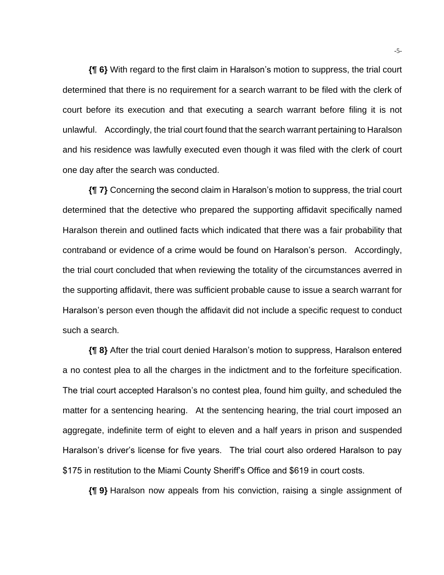**{¶ 6}** With regard to the first claim in Haralson's motion to suppress, the trial court determined that there is no requirement for a search warrant to be filed with the clerk of court before its execution and that executing a search warrant before filing it is not unlawful. Accordingly, the trial court found that the search warrant pertaining to Haralson and his residence was lawfully executed even though it was filed with the clerk of court one day after the search was conducted.

**{¶ 7}** Concerning the second claim in Haralson's motion to suppress, the trial court determined that the detective who prepared the supporting affidavit specifically named Haralson therein and outlined facts which indicated that there was a fair probability that contraband or evidence of a crime would be found on Haralson's person. Accordingly, the trial court concluded that when reviewing the totality of the circumstances averred in the supporting affidavit, there was sufficient probable cause to issue a search warrant for Haralson's person even though the affidavit did not include a specific request to conduct such a search.

**{¶ 8}** After the trial court denied Haralson's motion to suppress, Haralson entered a no contest plea to all the charges in the indictment and to the forfeiture specification. The trial court accepted Haralson's no contest plea, found him guilty, and scheduled the matter for a sentencing hearing. At the sentencing hearing, the trial court imposed an aggregate, indefinite term of eight to eleven and a half years in prison and suspended Haralson's driver's license for five years. The trial court also ordered Haralson to pay \$175 in restitution to the Miami County Sheriff's Office and \$619 in court costs.

**{¶ 9}** Haralson now appeals from his conviction, raising a single assignment of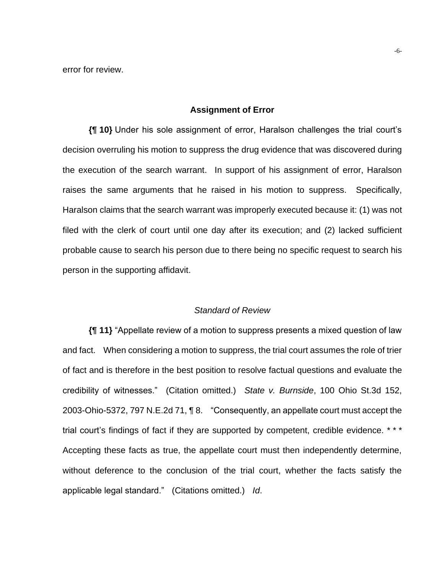error for review.

#### **Assignment of Error**

**{¶ 10}** Under his sole assignment of error, Haralson challenges the trial court's decision overruling his motion to suppress the drug evidence that was discovered during the execution of the search warrant. In support of his assignment of error, Haralson raises the same arguments that he raised in his motion to suppress. Specifically, Haralson claims that the search warrant was improperly executed because it: (1) was not filed with the clerk of court until one day after its execution; and (2) lacked sufficient probable cause to search his person due to there being no specific request to search his person in the supporting affidavit.

#### *Standard of Review*

**{¶ 11}** "Appellate review of a motion to suppress presents a mixed question of law and fact. When considering a motion to suppress, the trial court assumes the role of trier of fact and is therefore in the best position to resolve factual questions and evaluate the credibility of witnesses." (Citation omitted.) *State v. Burnside*, 100 Ohio St.3d 152, 2003-Ohio-5372, 797 N.E.2d 71, ¶ 8. "Consequently, an appellate court must accept the trial court's findings of fact if they are supported by competent, credible evidence. \*\*\* Accepting these facts as true, the appellate court must then independently determine, without deference to the conclusion of the trial court, whether the facts satisfy the applicable legal standard." (Citations omitted.) *Id*.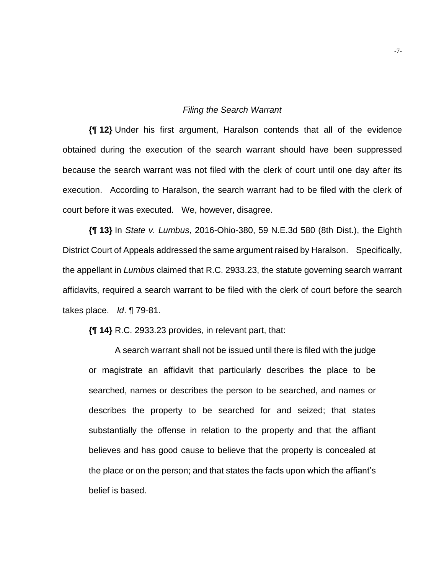#### *Filing the Search Warrant*

**{¶ 12}** Under his first argument, Haralson contends that all of the evidence obtained during the execution of the search warrant should have been suppressed because the search warrant was not filed with the clerk of court until one day after its execution. According to Haralson, the search warrant had to be filed with the clerk of court before it was executed. We, however, disagree.

**{¶ 13}** In *State v. Lumbus*, 2016-Ohio-380, 59 N.E.3d 580 (8th Dist.), the Eighth District Court of Appeals addressed the same argument raised by Haralson. Specifically, the appellant in *Lumbus* claimed that R.C. 2933.23, the statute governing search warrant affidavits, required a search warrant to be filed with the clerk of court before the search takes place. *Id*. ¶ 79-81.

**{¶ 14}** R.C. 2933.23 provides, in relevant part, that:

A search warrant shall not be issued until there is filed with the judge or magistrate an affidavit that particularly describes the place to be searched, names or describes the person to be searched, and names or describes the property to be searched for and seized; that states substantially the offense in relation to the property and that the affiant believes and has good cause to believe that the property is concealed at the place or on the person; and that states the facts upon which the affiant's belief is based.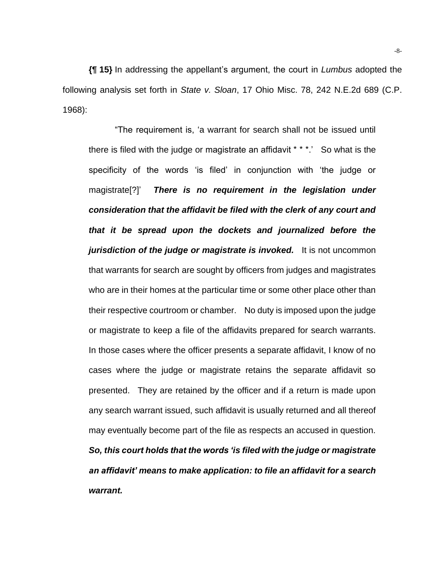**{¶ 15}** In addressing the appellant's argument, the court in *Lumbus* adopted the following analysis set forth in *State v. Sloan*, 17 Ohio Misc. 78, 242 N.E.2d 689 (C.P. 1968):

"The requirement is, 'a warrant for search shall not be issued until there is filed with the judge or magistrate an affidavit \* \* \*.' So what is the specificity of the words 'is filed' in conjunction with 'the judge or magistrate[?]' *There is no requirement in the legislation under consideration that the affidavit be filed with the clerk of any court and that it be spread upon the dockets and journalized before the jurisdiction of the judge or magistrate is invoked.* It is not uncommon that warrants for search are sought by officers from judges and magistrates who are in their homes at the particular time or some other place other than their respective courtroom or chamber. No duty is imposed upon the judge or magistrate to keep a file of the affidavits prepared for search warrants. In those cases where the officer presents a separate affidavit, I know of no cases where the judge or magistrate retains the separate affidavit so presented. They are retained by the officer and if a return is made upon any search warrant issued, such affidavit is usually returned and all thereof may eventually become part of the file as respects an accused in question. *So, this court holds that the words 'is filed with the judge or magistrate an affidavit' means to make application: to file an affidavit for a search warrant.*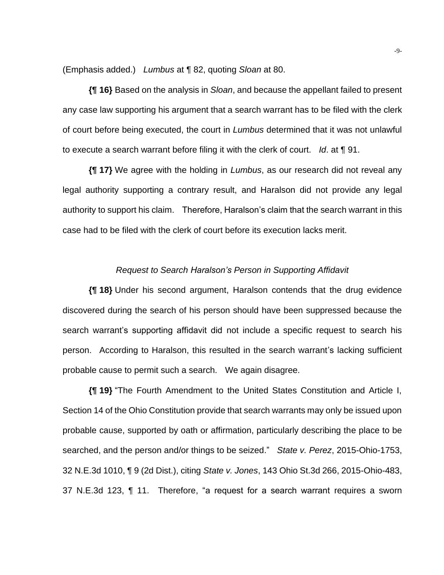(Emphasis added.) *Lumbus* at ¶ 82, quoting *Sloan* at 80.

**{¶ 16}** Based on the analysis in *Sloan*, and because the appellant failed to present any case law supporting his argument that a search warrant has to be filed with the clerk of court before being executed, the court in *Lumbus* determined that it was not unlawful to execute a search warrant before filing it with the clerk of court. *Id*. at ¶ 91.

**{¶ 17}** We agree with the holding in *Lumbus*, as our research did not reveal any legal authority supporting a contrary result, and Haralson did not provide any legal authority to support his claim. Therefore, Haralson's claim that the search warrant in this case had to be filed with the clerk of court before its execution lacks merit.

#### *Request to Search Haralson's Person in Supporting Affidavit*

**{¶ 18}** Under his second argument, Haralson contends that the drug evidence discovered during the search of his person should have been suppressed because the search warrant's supporting affidavit did not include a specific request to search his person. According to Haralson, this resulted in the search warrant's lacking sufficient probable cause to permit such a search. We again disagree.

**{¶ 19}** "The Fourth Amendment to the United States Constitution and Article I, Section 14 of the Ohio Constitution provide that search warrants may only be issued upon probable cause, supported by oath or affirmation, particularly describing the place to be searched, and the person and/or things to be seized." *State v. Perez*, 2015-Ohio-1753, 32 N.E.3d 1010, ¶ 9 (2d Dist.), citing *State v. Jones*, 143 Ohio St.3d 266, 2015-Ohio-483, 37 N.E.3d 123, ¶ 11. Therefore, "a request for a search warrant requires a sworn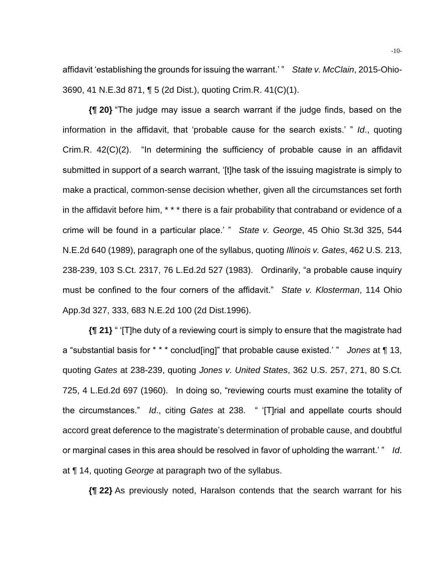affidavit 'establishing the grounds for issuing the warrant.' " *State v. McClain*, 2015-Ohio-3690, 41 N.E.3d 871, ¶ 5 (2d Dist.), quoting Crim.R. 41(C)(1).

**{¶ 20}** "The judge may issue a search warrant if the judge finds, based on the information in the affidavit, that 'probable cause for the search exists.' " *Id*., quoting Crim.R. 42(C)(2). "In determining the sufficiency of probable cause in an affidavit submitted in support of a search warrant, '[t]he task of the issuing magistrate is simply to make a practical, common-sense decision whether, given all the circumstances set forth in the affidavit before him, \* \* \* there is a fair probability that contraband or evidence of a crime will be found in a particular place.' " *State v. George*, 45 Ohio St.3d 325, 544 N.E.2d 640 (1989), paragraph one of the syllabus, quoting *Illinois v. Gates*, 462 U.S. 213, 238-239, 103 S.Ct. 2317, 76 L.Ed.2d 527 (1983). Ordinarily, "a probable cause inquiry must be confined to the four corners of the affidavit." *State v. Klosterman*, 114 Ohio App.3d 327, 333, 683 N.E.2d 100 (2d Dist.1996).

**{¶ 21}** " '[T]he duty of a reviewing court is simply to ensure that the magistrate had a "substantial basis for \* \* \* conclud[ing]" that probable cause existed.' " *Jones* at ¶ 13, quoting *Gates* at 238-239, quoting *Jones v. United States*, 362 U.S. 257, 271, 80 S.Ct. 725, 4 L.Ed.2d 697 (1960). In doing so, "reviewing courts must examine the totality of the circumstances." *Id*., citing *Gates* at 238. " '[T]rial and appellate courts should accord great deference to the magistrate's determination of probable cause, and doubtful or marginal cases in this area should be resolved in favor of upholding the warrant.' " *Id*. at ¶ 14, quoting *George* at paragraph two of the syllabus.

**{¶ 22}** As previously noted, Haralson contends that the search warrant for his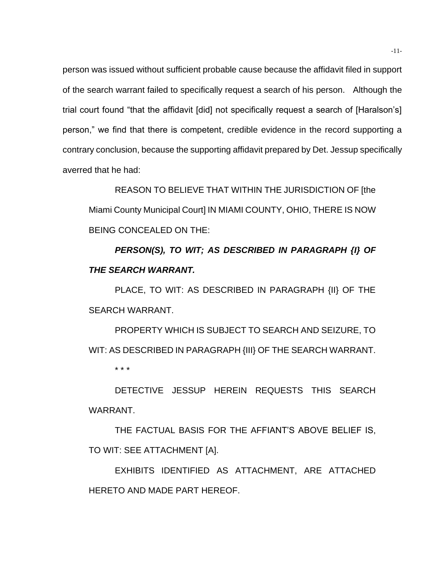person was issued without sufficient probable cause because the affidavit filed in support of the search warrant failed to specifically request a search of his person. Although the trial court found "that the affidavit [did] not specifically request a search of [Haralson's] person," we find that there is competent, credible evidence in the record supporting a contrary conclusion, because the supporting affidavit prepared by Det. Jessup specifically averred that he had:

REASON TO BELIEVE THAT WITHIN THE JURISDICTION OF [the Miami County Municipal Court] IN MIAMI COUNTY, OHIO, THERE IS NOW BEING CONCEALED ON THE:

*PERSON(S), TO WIT; AS DESCRIBED IN PARAGRAPH {I} OF THE SEARCH WARRANT.*

PLACE, TO WIT: AS DESCRIBED IN PARAGRAPH {II} OF THE SEARCH WARRANT.

PROPERTY WHICH IS SUBJECT TO SEARCH AND SEIZURE, TO WIT: AS DESCRIBED IN PARAGRAPH {III} OF THE SEARCH WARRANT. \* \* \*

DETECTIVE JESSUP HEREIN REQUESTS THIS SEARCH WARRANT.

THE FACTUAL BASIS FOR THE AFFIANT'S ABOVE BELIEF IS, TO WIT: SEE ATTACHMENT [A].

EXHIBITS IDENTIFIED AS ATTACHMENT, ARE ATTACHED HERETO AND MADE PART HEREOF.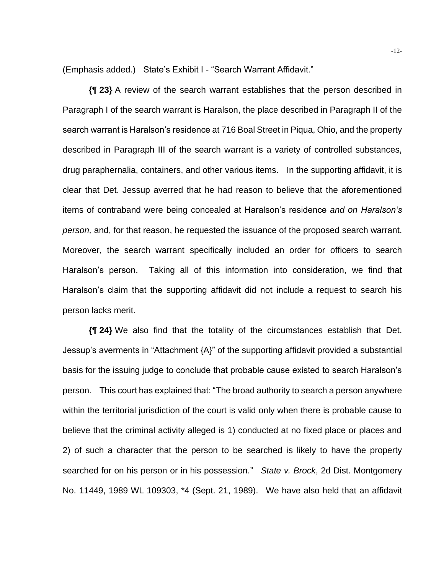(Emphasis added.) State's Exhibit I - "Search Warrant Affidavit."

**{¶ 23}** A review of the search warrant establishes that the person described in Paragraph I of the search warrant is Haralson, the place described in Paragraph II of the search warrant is Haralson's residence at 716 Boal Street in Piqua, Ohio, and the property described in Paragraph III of the search warrant is a variety of controlled substances, drug paraphernalia, containers, and other various items. In the supporting affidavit, it is clear that Det. Jessup averred that he had reason to believe that the aforementioned items of contraband were being concealed at Haralson's residence *and on Haralson's person,* and, for that reason, he requested the issuance of the proposed search warrant. Moreover, the search warrant specifically included an order for officers to search Haralson's person. Taking all of this information into consideration, we find that Haralson's claim that the supporting affidavit did not include a request to search his person lacks merit.

**{¶ 24}** We also find that the totality of the circumstances establish that Det. Jessup's averments in "Attachment {A}" of the supporting affidavit provided a substantial basis for the issuing judge to conclude that probable cause existed to search Haralson's person. This court has explained that: "The broad authority to search a person anywhere within the territorial jurisdiction of the court is valid only when there is probable cause to believe that the criminal activity alleged is 1) conducted at no fixed place or places and 2) of such a character that the person to be searched is likely to have the property searched for on his person or in his possession." *State v. Brock*, 2d Dist. Montgomery No. 11449, 1989 WL 109303, \*4 (Sept. 21, 1989). We have also held that an affidavit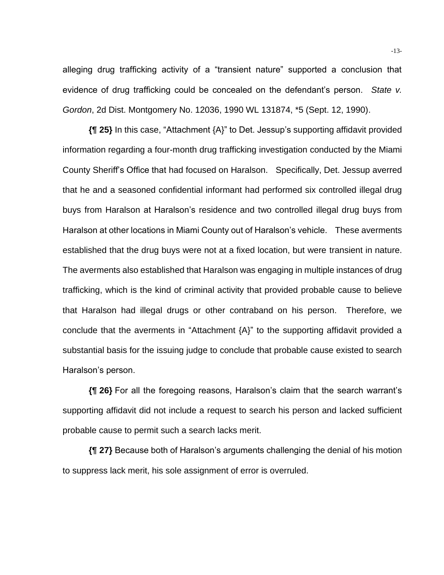alleging drug trafficking activity of a "transient nature" supported a conclusion that evidence of drug trafficking could be concealed on the defendant's person. *State v. Gordon*, 2d Dist. Montgomery No. 12036, 1990 WL 131874, \*5 (Sept. 12, 1990).

**{¶ 25}** In this case, "Attachment {A}" to Det. Jessup's supporting affidavit provided information regarding a four-month drug trafficking investigation conducted by the Miami County Sheriff's Office that had focused on Haralson. Specifically, Det. Jessup averred that he and a seasoned confidential informant had performed six controlled illegal drug buys from Haralson at Haralson's residence and two controlled illegal drug buys from Haralson at other locations in Miami County out of Haralson's vehicle. These averments established that the drug buys were not at a fixed location, but were transient in nature. The averments also established that Haralson was engaging in multiple instances of drug trafficking, which is the kind of criminal activity that provided probable cause to believe that Haralson had illegal drugs or other contraband on his person. Therefore, we conclude that the averments in "Attachment {A}" to the supporting affidavit provided a substantial basis for the issuing judge to conclude that probable cause existed to search Haralson's person.

**{¶ 26}** For all the foregoing reasons, Haralson's claim that the search warrant's supporting affidavit did not include a request to search his person and lacked sufficient probable cause to permit such a search lacks merit.

**{¶ 27}** Because both of Haralson's arguments challenging the denial of his motion to suppress lack merit, his sole assignment of error is overruled.